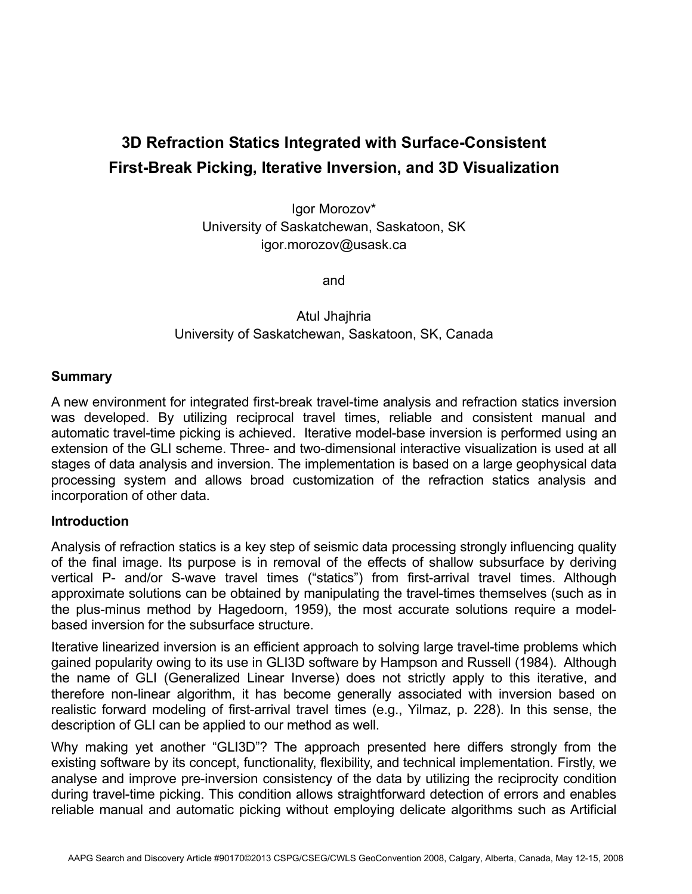# **3D Refraction Statics Integrated with Surface-Consistent First-Break Picking, Iterative Inversion, and 3D Visualization**

Igor Morozov\* University of Saskatchewan, Saskatoon, SK igor.morozov@usask.ca

and

## Atul Jhajhria University of Saskatchewan, Saskatoon, SK, Canada

#### **Summary**

A new environment for integrated first-break travel-time analysis and refraction statics inversion was developed. By utilizing reciprocal travel times, reliable and consistent manual and automatic travel-time picking is achieved. Iterative model-base inversion is performed using an extension of the GLI scheme. Three- and two-dimensional interactive visualization is used at all stages of data analysis and inversion. The implementation is based on a large geophysical data processing system and allows broad customization of the refraction statics analysis and incorporation of other data.

### **Introduction**

Analysis of refraction statics is a key step of seismic data processing strongly influencing quality of the final image. Its purpose is in removal of the effects of shallow subsurface by deriving vertical P- and/or S-wave travel times ("statics") from first-arrival travel times. Although approximate solutions can be obtained by manipulating the travel-times themselves (such as in the plus-minus method by Hagedoorn, 1959), the most accurate solutions require a modelbased inversion for the subsurface structure.

Iterative linearized inversion is an efficient approach to solving large travel-time problems which gained popularity owing to its use in GLI3D software by Hampson and Russell (1984). Although the name of GLI (Generalized Linear Inverse) does not strictly apply to this iterative, and therefore non-linear algorithm, it has become generally associated with inversion based on realistic forward modeling of first-arrival travel times (e.g., Yilmaz, p. 228). In this sense, the description of GLI can be applied to our method as well.

Why making yet another "GLI3D"? The approach presented here differs strongly from the existing software by its concept, functionality, flexibility, and technical implementation. Firstly, we analyse and improve pre-inversion consistency of the data by utilizing the reciprocity condition during travel-time picking. This condition allows straightforward detection of errors and enables reliable manual and automatic picking without employing delicate algorithms such as Artificial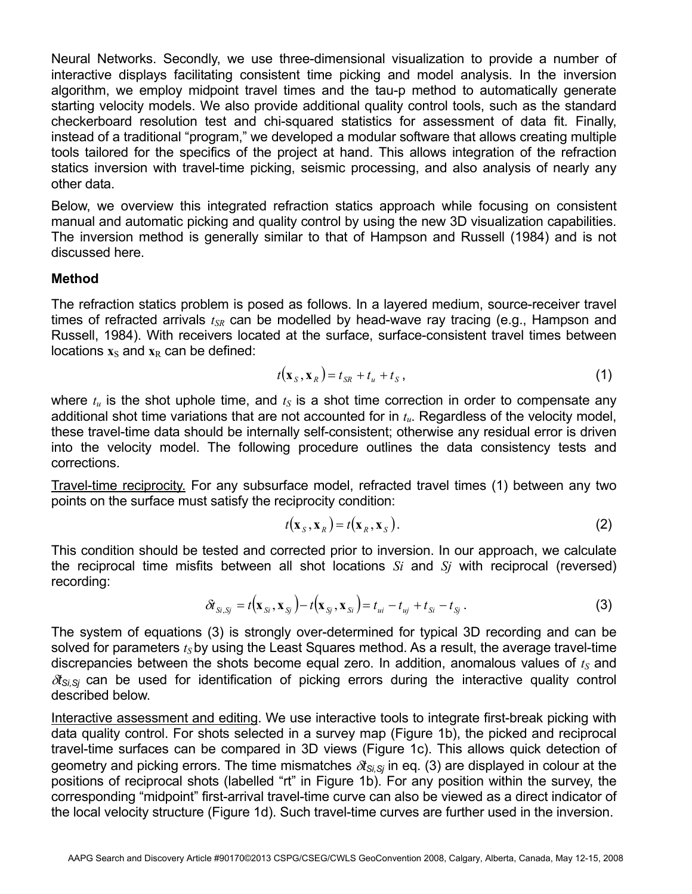Neural Networks. Secondly, we use three-dimensional visualization to provide a number of interactive displays facilitating consistent time picking and model analysis. In the inversion algorithm, we employ midpoint travel times and the tau-p method to automatically generate starting velocity models. We also provide additional quality control tools, such as the standard checkerboard resolution test and chi-squared statistics for assessment of data fit. Finally, instead of a traditional "program," we developed a modular software that allows creating multiple tools tailored for the specifics of the project at hand. This allows integration of the refraction statics inversion with travel-time picking, seismic processing, and also analysis of nearly any other data.

Below, we overview this integrated refraction statics approach while focusing on consistent manual and automatic picking and quality control by using the new 3D visualization capabilities. The inversion method is generally similar to that of Hampson and Russell (1984) and is not discussed here.

#### **Method**

The refraction statics problem is posed as follows. In a layered medium, source-receiver travel times of refracted arrivals  $t_{SR}$  can be modelled by head-wave ray tracing (e.g., Hampson and Russell, 1984). With receivers located at the surface, surface-consistent travel times between locations  $\mathbf{x}_\text{S}$  and  $\mathbf{x}_\text{R}$  can be defined:

$$
t(\mathbf{x}_{S}, \mathbf{x}_{R}) = t_{SR} + t_{u} + t_{S}, \qquad (1)
$$

where  $t_u$  is the shot uphole time, and  $t_s$  is a shot time correction in order to compensate any additional shot time variations that are not accounted for in *tu*. Regardless of the velocity model, these travel-time data should be internally self-consistent; otherwise any residual error is driven into the velocity model. The following procedure outlines the data consistency tests and corrections.

Travel-time reciprocity. For any subsurface model, refracted travel times (1) between any two points on the surface must satisfy the reciprocity condition:

$$
t(\mathbf{x}_s, \mathbf{x}_R) = t(\mathbf{x}_R, \mathbf{x}_s).
$$
 (2)

This condition should be tested and corrected prior to inversion. In our approach, we calculate the reciprocal time misfits between all shot locations *Si* and *Sj* with reciprocal (reversed) recording:

$$
\delta t_{\mathrm{S}i,\mathrm{S}j} = t(\mathbf{x}_{\mathrm{S}i},\mathbf{x}_{\mathrm{S}j}) - t(\mathbf{x}_{\mathrm{S}j},\mathbf{x}_{\mathrm{S}i}) = t_{ui} - t_{uj} + t_{\mathrm{S}i} - t_{\mathrm{S}j}.
$$
\n(3)

The system of equations (3) is strongly over-determined for typical 3D recording and can be solved for parameters  $t<sub>S</sub>$  by using the Least Squares method. As a result, the average travel-time discrepancies between the shots become equal zero. In addition, anomalous values of  $t<sub>S</sub>$  and <sup>δ</sup>*tSi,Sj* can be used for identification of picking errors during the interactive quality control described below.

Interactive assessment and editing. We use interactive tools to integrate first-break picking with data quality control. For shots selected in a survey map (Figure 1b), the picked and reciprocal travel-time surfaces can be compared in 3D views (Figure 1c). This allows quick detection of geometry and picking errors. The time mismatches  $\delta t_{S_i,S_i}$  in eq. (3) are displayed in colour at the positions of reciprocal shots (labelled "rt" in Figure 1b). For any position within the survey, the corresponding "midpoint" first-arrival travel-time curve can also be viewed as a direct indicator of the local velocity structure (Figure 1d). Such travel-time curves are further used in the inversion.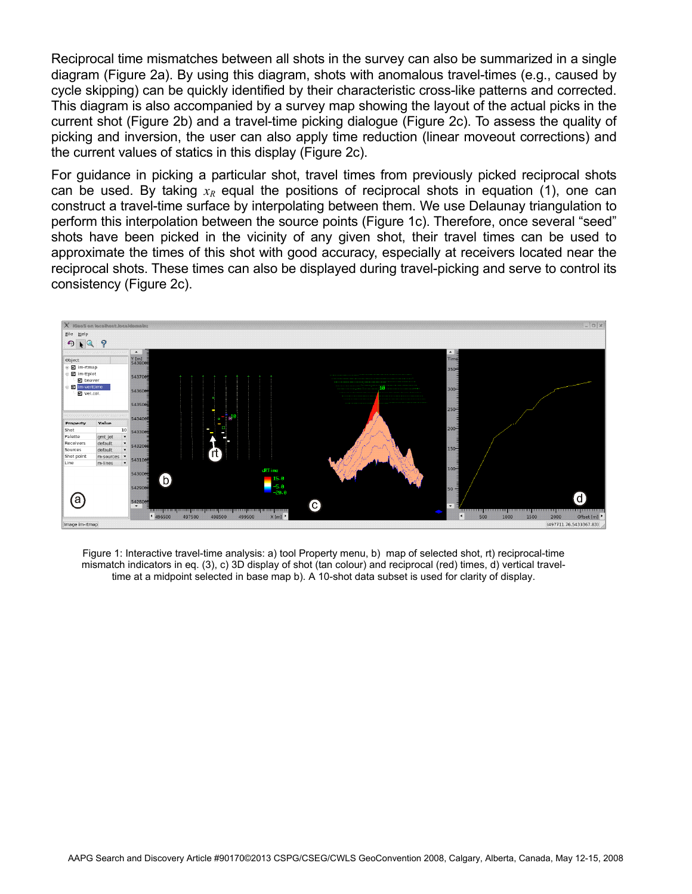Reciprocal time mismatches between all shots in the survey can also be summarized in a single diagram (Figure 2a). By using this diagram, shots with anomalous travel-times (e.g., caused by cycle skipping) can be quickly identified by their characteristic cross-like patterns and corrected. This diagram is also accompanied by a survey map showing the layout of the actual picks in the current shot (Figure 2b) and a travel-time picking dialogue (Figure 2c). To assess the quality of picking and inversion, the user can also apply time reduction (linear moveout corrections) and the current values of statics in this display (Figure 2c).

For guidance in picking a particular shot, travel times from previously picked reciprocal shots can be used. By taking  $x_R$  equal the positions of reciprocal shots in equation (1), one can construct a travel-time surface by interpolating between them. We use Delaunay triangulation to perform this interpolation between the source points (Figure 1c). Therefore, once several "seed" shots have been picked in the vicinity of any given shot, their travel times can be used to approximate the times of this shot with good accuracy, especially at receivers located near the reciprocal shots. These times can also be displayed during travel-picking and serve to control its consistency (Figure 2c).



Figure 1: Interactive travel-time analysis: a) tool Property menu, b) map of selected shot, rt) reciprocal-time mismatch indicators in eq. (3), c) 3D display of shot (tan colour) and reciprocal (red) times, d) vertical traveltime at a midpoint selected in base map b). A 10-shot data subset is used for clarity of display.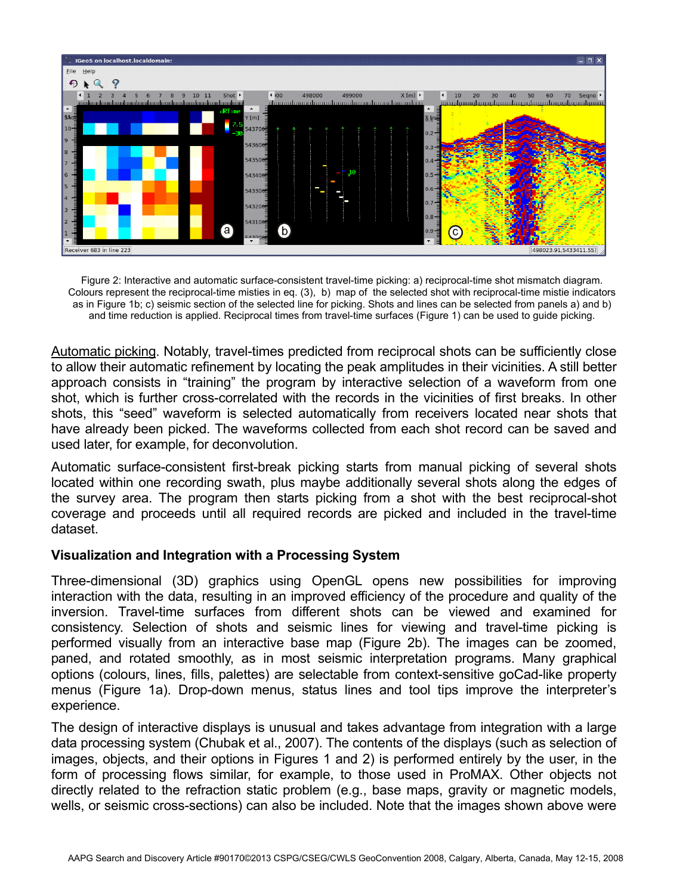

Figure 2: Interactive and automatic surface-consistent travel-time picking: a) reciprocal-time shot mismatch diagram. Colours represent the reciprocal-time misties in eq. (3), b) map of the selected shot with reciprocal-time mistie indicators as in Figure 1b; c) seismic section of the selected line for picking. Shots and lines can be selected from panels a) and b) and time reduction is applied. Reciprocal times from travel-time surfaces (Figure 1) can be used to guide picking.

Automatic picking. Notably, travel-times predicted from reciprocal shots can be sufficiently close to allow their automatic refinement by locating the peak amplitudes in their vicinities. A still better approach consists in "training" the program by interactive selection of a waveform from one shot, which is further cross-correlated with the records in the vicinities of first breaks. In other shots, this "seed" waveform is selected automatically from receivers located near shots that have already been picked. The waveforms collected from each shot record can be saved and used later, for example, for deconvolution.

Automatic surface-consistent first-break picking starts from manual picking of several shots located within one recording swath, plus maybe additionally several shots along the edges of the survey area. The program then starts picking from a shot with the best reciprocal-shot coverage and proceeds until all required records are picked and included in the travel-time dataset.

### **Visualiza**t**ion and Integration with a Processing System**

Three-dimensional (3D) graphics using OpenGL opens new possibilities for improving interaction with the data, resulting in an improved efficiency of the procedure and quality of the inversion. Travel-time surfaces from different shots can be viewed and examined for consistency. Selection of shots and seismic lines for viewing and travel-time picking is performed visually from an interactive base map (Figure 2b). The images can be zoomed, paned, and rotated smoothly, as in most seismic interpretation programs. Many graphical options (colours, lines, fills, palettes) are selectable from context-sensitive goCad-like property menus (Figure 1a). Drop-down menus, status lines and tool tips improve the interpreter's experience.

The design of interactive displays is unusual and takes advantage from integration with a large data processing system (Chubak et al., 2007). The contents of the displays (such as selection of images, objects, and their options in Figures 1 and 2) is performed entirely by the user, in the form of processing flows similar, for example, to those used in ProMAX. Other objects not directly related to the refraction static problem (e.g., base maps, gravity or magnetic models, wells, or seismic cross-sections) can also be included. Note that the images shown above were